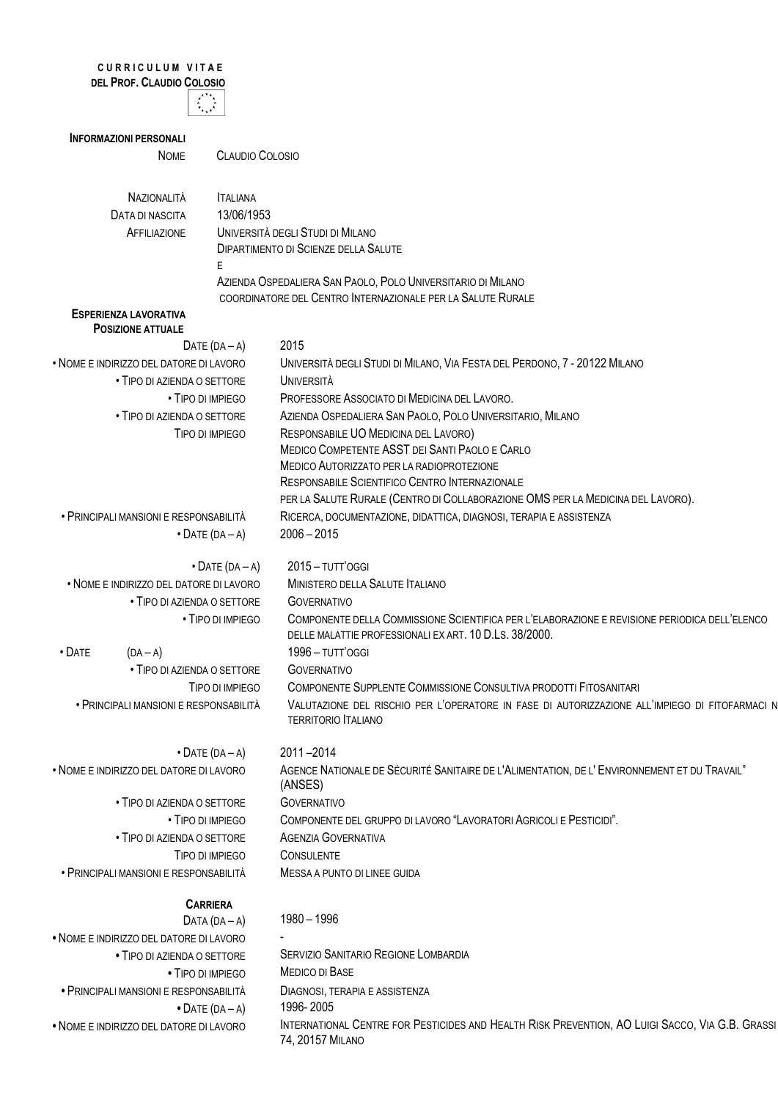## **C U R R I C U L U M V I T A E DEL PROF. CLAUDIO COLOSIO**



| <b>INFORMAZIONI PERSONALI</b>           |                         |                                                                                                                                                         |
|-----------------------------------------|-------------------------|---------------------------------------------------------------------------------------------------------------------------------------------------------|
| <b>NOME</b>                             | <b>CLAUDIO COLOSIO</b>  |                                                                                                                                                         |
|                                         |                         |                                                                                                                                                         |
| NAZIONALITÀ                             | <b>ITALIANA</b>         |                                                                                                                                                         |
| DATA DI NASCITA                         | 13/06/1953              |                                                                                                                                                         |
| AFFILIAZIONE                            |                         | UNIVERSITÀ DEGLI STUDI DI MILANO                                                                                                                        |
|                                         |                         | DIPARTIMENTO DI SCIENZE DELLA SALUTE                                                                                                                    |
|                                         | E                       | AZIENDA OSPEDALIERA SAN PAOLO, POLO UNIVERSITARIO DI MILANO                                                                                             |
|                                         |                         | COORDINATORE DEL CENTRO INTERNAZIONALE PER LA SALUTE RURALE                                                                                             |
| <b>ESPERIENZA LAVORATIVA</b>            |                         |                                                                                                                                                         |
| <b>POSIZIONE ATTUALE</b>                |                         |                                                                                                                                                         |
| DATE $(DA - A)$                         |                         | 2015                                                                                                                                                    |
| . NOME E INDIRIZZO DEL DATORE DI LAVORO |                         | UNIVERSITÀ DEGLI STUDI DI MILANO, VIA FESTA DEL PERDONO, 7 - 20122 MILANO                                                                               |
| • TIPO DI AZIENDA O SETTORE             |                         | <b>UNIVERSITÀ</b>                                                                                                                                       |
| • TIPO DI IMPIEGO                       |                         | PROFESSORE ASSOCIATO DI MEDICINA DEL LAVORO.                                                                                                            |
| • TIPO DI AZIENDA O SETTORE             |                         | AZIENDA OSPEDALIERA SAN PAOLO, POLO UNIVERSITARIO, MILANO                                                                                               |
| TIPO DI IMPIEGO                         |                         | RESPONSABILE UO MEDICINA DEL LAVORO)                                                                                                                    |
|                                         |                         | MEDICO COMPETENTE ASST DEI SANTI PAOLO E CARLO<br>MEDICO AUTORIZZATO PER LA RADIOPROTEZIONE                                                             |
|                                         |                         | RESPONSABILE SCIENTIFICO CENTRO INTERNAZIONALE                                                                                                          |
|                                         |                         | PER LA SALUTE RURALE (CENTRO DI COLLABORAZIONE OMS PER LA MEDICINA DEL LAVORO).                                                                         |
| • PRINCIPALI MANSIONI E RESPONSABILITÀ  |                         | RICERCA, DOCUMENTAZIONE, DIDATTICA, DIAGNOSI, TERAPIA E ASSISTENZA                                                                                      |
| $\bullet$ DATE (DA - A)                 |                         | $2006 - 2015$                                                                                                                                           |
|                                         |                         |                                                                                                                                                         |
|                                         | $\bullet$ DATE (DA - A) | 2015 - TUTT'OGGI                                                                                                                                        |
| . NOME E INDIRIZZO DEL DATORE DI LAVORO |                         | MINISTERO DELLA SALUTE ITALIANO                                                                                                                         |
| • TIPO DI AZIENDA O SETTORE             |                         | <b>GOVERNATIVO</b>                                                                                                                                      |
|                                         | • TIPO DI IMPIEGO       | COMPONENTE DELLA COMMISSIONE SCIENTIFICA PER L'ELABORAZIONE E REVISIONE PERIODICA DELL'ELENCO<br>DELLE MALATTIE PROFESSIONALI EX ART. 10 D.LS. 38/2000. |
| $\cdot$ Date<br>$(DA - A)$              |                         | 1996 - TUTT'OGGI                                                                                                                                        |
| • TIPO DI AZIENDA O SETTORE             |                         | <b>GOVERNATIVO</b>                                                                                                                                      |
| TIPO DI IMPIEGO                         |                         | COMPONENTE SUPPLENTE COMMISSIONE CONSULTIVA PRODOTTI FITOSANITARI                                                                                       |
| · PRINCIPALI MANSIONI E RESPONSABILITÀ  |                         | VALUTAZIONE DEL RISCHIO PER L'OPERATORE IN FASE DI AUTORIZZAZIONE ALL'IMPIEGO DI FITOFARMACI N<br><b>TERRITORIO ITALIANO</b>                            |
| $\bullet$ DATE (DA - A)                 |                         | 2011-2014                                                                                                                                               |
| . NOME E INDIRIZZO DEL DATORE DI LAVORO |                         | AGENCE NATIONALE DE SÉCURITÉ SANITAIRE DE L'ALIMENTATION, DE L'ENVIRONNEMENT ET DU TRAVAIL"<br>(ANSES)                                                  |
| • TIPO DI AZIENDA O SETTORE             |                         | <b>GOVERNATIVO</b>                                                                                                                                      |
| • TIPO DI IMPIEGO                       |                         | COMPONENTE DEL GRUPPO DI LAVORO "LAVORATORI AGRICOLI E PESTICIDI".                                                                                      |
| • TIPO DI AZIENDA O SETTORE             |                         | <b>AGENZIA GOVERNATIVA</b>                                                                                                                              |
| TIPO DI IMPIEGO                         |                         | <b>CONSULENTE</b>                                                                                                                                       |
| • PRINCIPALI MANSIONI E RESPONSABILITÀ  |                         | MESSA A PUNTO DI LINEE GUIDA                                                                                                                            |
| <b>CARRIERA</b>                         |                         |                                                                                                                                                         |
| DATA $(DA - A)$                         |                         | 1980 - 1996                                                                                                                                             |
| · NOME E INDIRIZZO DEL DATORE DI LAVORO |                         |                                                                                                                                                         |
| . TIPO DI AZIENDA O SETTORE             |                         | <b>SERVIZIO SANITARIO REGIONE LOMBARDIA</b>                                                                                                             |
| • TIPO DI IMPIEGO                       |                         | MEDICO DI BASE                                                                                                                                          |
| · PRINCIPALI MANSIONI E RESPONSABILITÀ  |                         | DIAGNOSI, TERAPIA E ASSISTENZA                                                                                                                          |
| $\bullet$ DATE (DA - A)                 |                         | 1996-2005                                                                                                                                               |

- 
- NOME E INDIRIZZO DEL DATORE DI LAVORO INTERNATIONAL CENTRE FOR PESTICIDES AND HEALTH RISK PREVENTION, AO LUIGI SACCO, VIA G.B. GRASSI 74, 20157 MILANO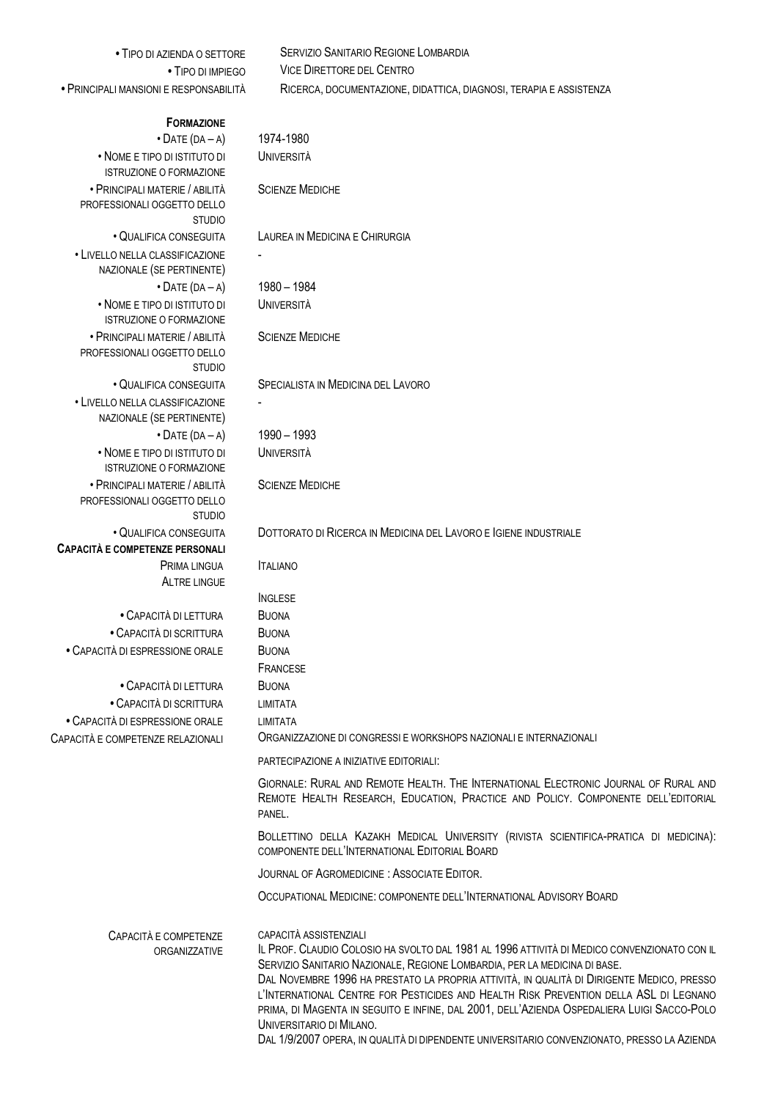| • TIPO DI AZIENDA O SETTORE                                                    | <b>SERVIZIO SANITARIO REGIONE LOMBARDIA</b>                                                                                                                                                                                                                                                                                                                                                                                                                                                                        |
|--------------------------------------------------------------------------------|--------------------------------------------------------------------------------------------------------------------------------------------------------------------------------------------------------------------------------------------------------------------------------------------------------------------------------------------------------------------------------------------------------------------------------------------------------------------------------------------------------------------|
| • TIPO DI IMPIEGO                                                              | <b>VICE DIRETTORE DEL CENTRO</b>                                                                                                                                                                                                                                                                                                                                                                                                                                                                                   |
| • PRINCIPALI MANSIONI E RESPONSABILITÀ                                         | RICERCA, DOCUMENTAZIONE, DIDATTICA, DIAGNOSI, TERAPIA E ASSISTENZA                                                                                                                                                                                                                                                                                                                                                                                                                                                 |
| <b>FORMAZIONE</b>                                                              |                                                                                                                                                                                                                                                                                                                                                                                                                                                                                                                    |
| $\bullet$ DATE (DA - A)                                                        | 1974-1980                                                                                                                                                                                                                                                                                                                                                                                                                                                                                                          |
| • NOME E TIPO DI ISTITUTO DI<br><b>ISTRUZIONE O FORMAZIONE</b>                 | <b>UNIVERSITÀ</b>                                                                                                                                                                                                                                                                                                                                                                                                                                                                                                  |
| • PRINCIPALI MATERIE / ABILITÀ                                                 | <b>SCIENZE MEDICHE</b>                                                                                                                                                                                                                                                                                                                                                                                                                                                                                             |
| PROFESSIONALI OGGETTO DELLO<br><b>STUDIO</b>                                   |                                                                                                                                                                                                                                                                                                                                                                                                                                                                                                                    |
| • QUALIFICA CONSEGUITA                                                         | LAUREA IN MEDICINA E CHIRURGIA                                                                                                                                                                                                                                                                                                                                                                                                                                                                                     |
| • LIVELLO NELLA CLASSIFICAZIONE<br>NAZIONALE (SE PERTINENTE)                   |                                                                                                                                                                                                                                                                                                                                                                                                                                                                                                                    |
| $\bullet$ DATE (DA - A)                                                        | 1980 - 1984                                                                                                                                                                                                                                                                                                                                                                                                                                                                                                        |
| • NOME E TIPO DI ISTITUTO DI<br><b>ISTRUZIONE O FORMAZIONE</b>                 | <b>UNIVERSITÀ</b>                                                                                                                                                                                                                                                                                                                                                                                                                                                                                                  |
| • PRINCIPALI MATERIE / ABILITÀ<br>PROFESSIONALI OGGETTO DELLO<br><b>STUDIO</b> | <b>SCIENZE MEDICHE</b>                                                                                                                                                                                                                                                                                                                                                                                                                                                                                             |
| · QUALIFICA CONSEGUITA                                                         | SPECIALISTA IN MEDICINA DEL LAVORO                                                                                                                                                                                                                                                                                                                                                                                                                                                                                 |
| • LIVELLO NELLA CLASSIFICAZIONE<br>NAZIONALE (SE PERTINENTE)                   |                                                                                                                                                                                                                                                                                                                                                                                                                                                                                                                    |
| $\bullet$ DATE (DA - A)                                                        | 1990 - 1993                                                                                                                                                                                                                                                                                                                                                                                                                                                                                                        |
| • NOME E TIPO DI ISTITUTO DI<br><b>ISTRUZIONE O FORMAZIONE</b>                 | <b>UNIVERSITÀ</b>                                                                                                                                                                                                                                                                                                                                                                                                                                                                                                  |
| • PRINCIPALI MATERIE / ABILITÀ<br>PROFESSIONALI OGGETTO DELLO<br><b>STUDIO</b> | <b>SCIENZE MEDICHE</b>                                                                                                                                                                                                                                                                                                                                                                                                                                                                                             |
| • QUALIFICA CONSEGUITA                                                         | DOTTORATO DI RICERCA IN MEDICINA DEL LAVORO E IGIENE INDUSTRIALE                                                                                                                                                                                                                                                                                                                                                                                                                                                   |
| <b>CAPACITÀ E COMPETENZE PERSONALI</b>                                         |                                                                                                                                                                                                                                                                                                                                                                                                                                                                                                                    |
| PRIMA LINGUA<br><b>ALTRE LINGUE</b>                                            | <b>ITALIANO</b>                                                                                                                                                                                                                                                                                                                                                                                                                                                                                                    |
|                                                                                | <b>INGLESE</b>                                                                                                                                                                                                                                                                                                                                                                                                                                                                                                     |
| • CAPACITÀ DI LETTURA                                                          | <b>BUONA</b>                                                                                                                                                                                                                                                                                                                                                                                                                                                                                                       |
| • CAPACITÀ DI SCRITTURA                                                        | <b>BUONA</b>                                                                                                                                                                                                                                                                                                                                                                                                                                                                                                       |
| • CAPACITÀ DI ESPRESSIONE ORALE                                                | <b>BUONA</b>                                                                                                                                                                                                                                                                                                                                                                                                                                                                                                       |
|                                                                                | FRANCESE                                                                                                                                                                                                                                                                                                                                                                                                                                                                                                           |
| • CAPACITÀ DI LETTURA                                                          | <b>BUONA</b>                                                                                                                                                                                                                                                                                                                                                                                                                                                                                                       |
| • CAPACITÀ DI SCRITTURA                                                        | <b>LIMITATA</b>                                                                                                                                                                                                                                                                                                                                                                                                                                                                                                    |
| • CAPACITÀ DI ESPRESSIONE ORALE<br>CAPACITÀ E COMPETENZE RELAZIONALI           | <b>I IMITATA</b><br>ORGANIZZAZIONE DI CONGRESSI E WORKSHOPS NAZIONALI E INTERNAZIONALI                                                                                                                                                                                                                                                                                                                                                                                                                             |
|                                                                                | PARTECIPAZIONE A INIZIATIVE EDITORIALI:                                                                                                                                                                                                                                                                                                                                                                                                                                                                            |
|                                                                                | GIORNALE: RURAL AND REMOTE HEALTH. THE INTERNATIONAL ELECTRONIC JOURNAL OF RURAL AND<br>REMOTE HEALTH RESEARCH, EDUCATION, PRACTICE AND POLICY. COMPONENTE DELL'EDITORIAL<br>PANEL.                                                                                                                                                                                                                                                                                                                                |
|                                                                                | BOLLETTINO DELLA KAZAKH MEDICAL UNIVERSITY (RIVISTA SCIENTIFICA-PRATICA DI MEDICINA):<br>COMPONENTE DELL'INTERNATIONAL EDITORIAL BOARD                                                                                                                                                                                                                                                                                                                                                                             |
|                                                                                | JOURNAL OF AGROMEDICINE : ASSOCIATE EDITOR.                                                                                                                                                                                                                                                                                                                                                                                                                                                                        |
|                                                                                | OCCUPATIONAL MEDICINE: COMPONENTE DELL'INTERNATIONAL ADVISORY BOARD                                                                                                                                                                                                                                                                                                                                                                                                                                                |
| CAPACITÀ E COMPETENZE<br>ORGANIZZATIVE                                         | CAPACITÀ ASSISTENZIALI<br>IL PROF. CLAUDIO COLOSIO HA SVOLTO DAL 1981 AL 1996 ATTIVITÀ DI MEDICO CONVENZIONATO CON IL<br>SERVIZIO SANITARIO NAZIONALE, REGIONE LOMBARDIA, PER LA MEDICINA DI BASE.<br>DAL NOVEMBRE 1996 HA PRESTATO LA PROPRIA ATTIVITÀ, IN QUALITÀ DI DIRIGENTE MEDICO, PRESSO<br>L'INTERNATIONAL CENTRE FOR PESTICIDES AND HEALTH RISK PREVENTION DELLA ASL DI LEGNANO<br>PRIMA, DI MAGENTA IN SEGUITO E INFINE, DAL 2001, DELL'AZIENDA OSPEDALIERA LUIGI SACCO-POLO<br>UNIVERSITARIO DI MILANO. |

DAL 1/9/2007 OPERA, IN QUALITÀ DI DIPENDENTE UNIVERSITARIO CONVENZIONATO, PRESSO LA AZIENDA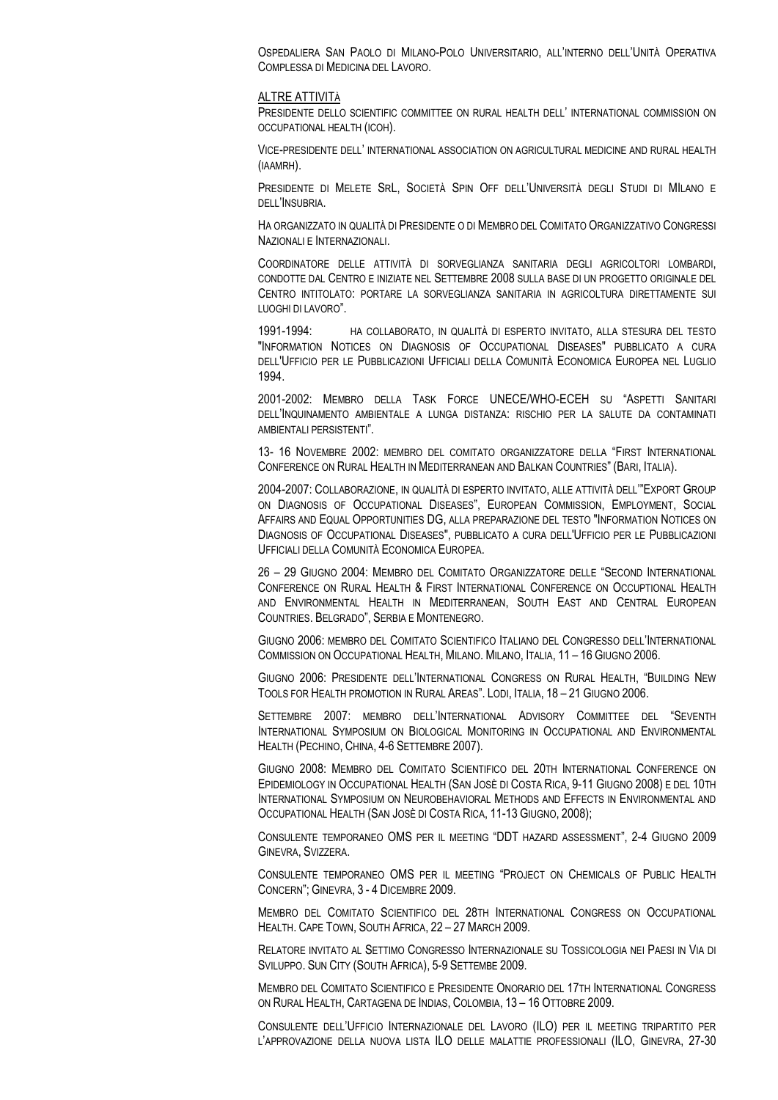OSPEDALIERA SAN PAOLO DI MILANO-POLO UNIVERSITARIO, ALL'INTERNO DELL'UNITÀ OPERATIVA COMPLESSA DI MEDICINA DEL LAVORO.

## ALTRE ATTIVITÀ

PRESIDENTE DELLO SCIENTIFIC COMMITTEE ON RURAL HEALTH DELL' INTERNATIONAL COMMISSION ON OCCUPATIONAL HEALTH (ICOH).

VICE-PRESIDENTE DELL' INTERNATIONAL ASSOCIATION ON AGRICULTURAL MEDICINE AND RURAL HEALTH (IAAMRH).

PRESIDENTE DI MELETE SRL, SOCIETÀ SPIN OFF DELL'UNIVERSITÀ DEGLI STUDI DI MILANO E DELL'INSUBRIA.

HA ORGANIZZATO IN QUALITÀ DI PRESIDENTE O DI MEMBRO DEL COMITATO ORGANIZZATIVO CONGRESSI NAZIONALI E INTERNAZIONALI.

COORDINATORE DELLE ATTIVITÀ DI SORVEGLIANZA SANITARIA DEGLI AGRICOLTORI LOMBARDI, CONDOTTE DAL CENTRO E INIZIATE NEL SETTEMBRE 2008 SULLA BASE DI UN PROGETTO ORIGINALE DEL CENTRO INTITOLATO: PORTARE LA SORVEGLIANZA SANITARIA IN AGRICOLTURA DIRETTAMENTE SUI LUOGHI DI LAVORO".

1991-1994: HA COLLABORATO, IN QUALITÀ DI ESPERTO INVITATO, ALLA STESURA DEL TESTO "INFORMATION NOTICES ON DIAGNOSIS OF OCCUPATIONAL DISEASES" PUBBLICATO A CURA DELL'UFFICIO PER LE PUBBLICAZIONI UFFICIALI DELLA COMUNITÀ ECONOMICA EUROPEA NEL LUGLIO 1994.

2001-2002: MEMBRO DELLA TASK FORCE UNECE/WHO-ECEH SU "ASPETTI SANITARI DELL'INQUINAMENTO AMBIENTALE A LUNGA DISTANZA: RISCHIO PER LA SALUTE DA CONTAMINATI AMBIENTALI PERSISTENTI".

13- 16 NOVEMBRE 2002: MEMBRO DEL COMITATO ORGANIZZATORE DELLA "FIRST INTERNATIONAL CONFERENCE ON RURAL HEALTH IN MEDITERRANEAN AND BALKAN COUNTRIES" (BARI, ITALIA).

2004-2007: COLLABORAZIONE, IN QUALITÀ DI ESPERTO INVITATO, ALLE ATTIVITÀ DELL'"EXPORT GROUP ON DIAGNOSIS OF OCCUPATIONAL DISEASES", EUROPEAN COMMISSION, EMPLOYMENT, SOCIAL AFFAIRS AND EQUAL OPPORTUNITIES DG, ALLA PREPARAZIONE DEL TESTO "INFORMATION NOTICES ON DIAGNOSIS OF OCCUPATIONAL DISEASES", PUBBLICATO A CURA DELL'UFFICIO PER LE PUBBLICAZIONI UFFICIALI DELLA COMUNITÀ ECONOMICA EUROPEA.

26 – 29 GIUGNO 2004: MEMBRO DEL COMITATO ORGANIZZATORE DELLE "SECOND INTERNATIONAL CONFERENCE ON RURAL HEALTH & FIRST INTERNATIONAL CONFERENCE ON OCCUPTIONAL HEALTH AND ENVIRONMENTAL HEALTH IN MEDITERRANEAN, SOUTH EAST AND CENTRAL EUROPEAN COUNTRIES. BELGRADO", SERBIA E MONTENEGRO.

GIUGNO 2006: MEMBRO DEL COMITATO SCIENTIFICO ITALIANO DEL CONGRESSO DELL'INTERNATIONAL COMMISSION ON OCCUPATIONAL HEALTH, MILANO. MILANO, ITALIA, 11 – 16 GIUGNO 2006.

GIUGNO 2006: PRESIDENTE DELL'INTERNATIONAL CONGRESS ON RURAL HEALTH, "BUILDING NEW TOOLS FOR HEALTH PROMOTION IN RURAL AREAS". LODI, ITALIA, 18 – 21 GIUGNO 2006.

SETTEMBRE 2007: MEMBRO DELL'INTERNATIONAL ADVISORY COMMITTEE DEL "SEVENTH INTERNATIONAL SYMPOSIUM ON BIOLOGICAL MONITORING IN OCCUPATIONAL AND ENVIRONMENTAL HEALTH (PECHINO, CHINA, 4-6 SETTEMBRE 2007).

GIUGNO 2008: MEMBRO DEL COMITATO SCIENTIFICO DEL 20TH INTERNATIONAL CONFERENCE ON EPIDEMIOLOGY IN OCCUPATIONAL HEALTH (SAN JOSÈ DI COSTA RICA, 9-11 GIUGNO 2008) E DEL 10TH INTERNATIONAL SYMPOSIUM ON NEUROBEHAVIORAL METHODS AND EFFECTS IN ENVIRONMENTAL AND OCCUPATIONAL HEALTH (SAN JOSÈ DI COSTA RICA, 11-13 GIUGNO, 2008);

CONSULENTE TEMPORANEO OMS PER IL MEETING "DDT HAZARD ASSESSMENT", 2-4 GIUGNO 2009 GINEVRA, SVIZZERA.

CONSULENTE TEMPORANEO OMS PER IL MEETING "PROJECT ON CHEMICALS OF PUBLIC HEALTH CONCERN"; GINEVRA, 3 - 4 DICEMBRE 2009.

MEMBRO DEL COMITATO SCIENTIFICO DEL 28TH INTERNATIONAL CONGRESS ON OCCUPATIONAL HEALTH. CAPE TOWN, SOUTH AFRICA, 22 – 27 MARCH 2009.

RELATORE INVITATO AL SETTIMO CONGRESSO INTERNAZIONALE SU TOSSICOLOGIA NEI PAESI IN VIA DI SVILUPPO. SUN CITY (SOUTH AFRICA), 5-9 SETTEMBE 2009.

MEMBRO DEL COMITATO SCIENTIFICO E PRESIDENTE ONORARIO DEL 17TH INTERNATIONAL CONGRESS ON RURAL HEALTH, CARTAGENA DE INDIAS, COLOMBIA, 13 – 16 OTTOBRE 2009.

CONSULENTE DELL'UFFICIO INTERNAZIONALE DEL LAVORO (ILO) PER IL MEETING TRIPARTITO PER L'APPROVAZIONE DELLA NUOVA LISTA ILO DELLE MALATTIE PROFESSIONALI (ILO, GINEVRA, 27-30